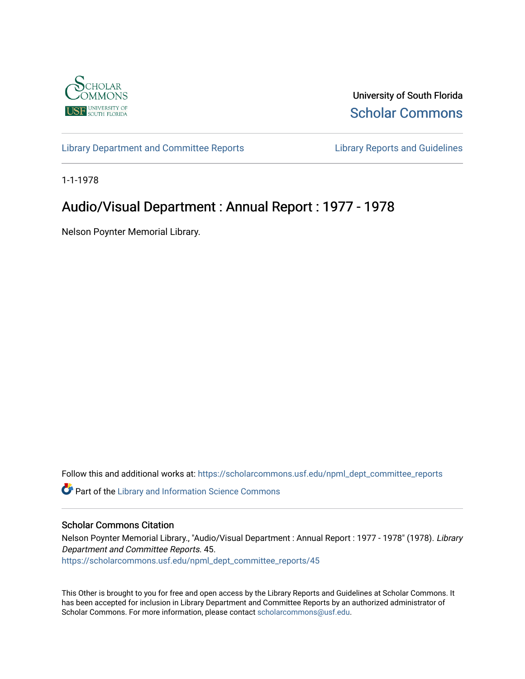

University of South Florida [Scholar Commons](https://scholarcommons.usf.edu/) 

[Library Department and Committee Reports](https://scholarcommons.usf.edu/npml_dept_committee_reports) [Library Reports and Guidelines](https://scholarcommons.usf.edu/npml_reports_guidelines_instruct_materials) 

1-1-1978

## Audio/Visual Department : Annual Report : 1977 - 1978

Nelson Poynter Memorial Library.

Follow this and additional works at: [https://scholarcommons.usf.edu/npml\\_dept\\_committee\\_reports](https://scholarcommons.usf.edu/npml_dept_committee_reports?utm_source=scholarcommons.usf.edu%2Fnpml_dept_committee_reports%2F45&utm_medium=PDF&utm_campaign=PDFCoverPages)

Part of the [Library and Information Science Commons](http://network.bepress.com/hgg/discipline/1018?utm_source=scholarcommons.usf.edu%2Fnpml_dept_committee_reports%2F45&utm_medium=PDF&utm_campaign=PDFCoverPages) 

## Scholar Commons Citation

Nelson Poynter Memorial Library., "Audio/Visual Department : Annual Report : 1977 - 1978" (1978). Library Department and Committee Reports. 45. [https://scholarcommons.usf.edu/npml\\_dept\\_committee\\_reports/45](https://scholarcommons.usf.edu/npml_dept_committee_reports/45?utm_source=scholarcommons.usf.edu%2Fnpml_dept_committee_reports%2F45&utm_medium=PDF&utm_campaign=PDFCoverPages) 

This Other is brought to you for free and open access by the Library Reports and Guidelines at Scholar Commons. It has been accepted for inclusion in Library Department and Committee Reports by an authorized administrator of Scholar Commons. For more information, please contact [scholarcommons@usf.edu](mailto:scholarcommons@usf.edu).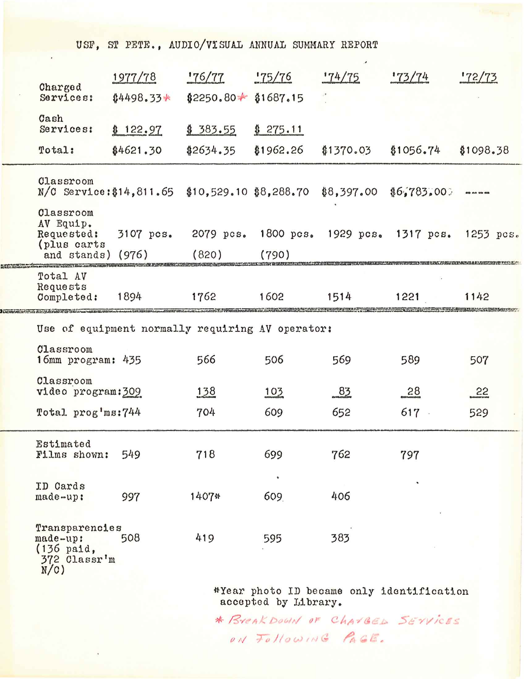USF, ST PETE., AUDIO/VISUAL ANNUAL SUMMARY REPORT

| <b>Charged</b><br>Services:                                        | 1977/78     | 176/77                   | 175/76           | 174/75                                  | 173/74    | 172/73      |
|--------------------------------------------------------------------|-------------|--------------------------|------------------|-----------------------------------------|-----------|-------------|
|                                                                    | $$4498.33*$ | $$2250.80 \div $1687.15$ |                  |                                         |           |             |
| Cash<br>Services:                                                  | \$122.97    | \$383.55                 | \$275.11         |                                         |           |             |
| Total:                                                             | \$4621.30   | \$2634.35                | \$1962.26        | \$1370.03                               | \$1056.74 | \$1098.38   |
| Classroom<br>$N/C$ Service: \$14, 811.65 \$10, 529.10 \$8, 288.70  |             |                          |                  | \$8,397.00                              | 16,783,00 |             |
| Classroom<br>AV Equip.<br>Requested:<br>(plus carts)               | 3107 pcs.   |                          |                  | 2079 pcs. 1800 pcs. 1929 pcs. 1317 pcs. |           | $1253$ pcs. |
| and stands) (976)                                                  |             | (820)                    | (790)            |                                         |           |             |
| Total AV<br>Requests<br>Completed:                                 | 1894        | 1762                     | 1602             | 1514                                    | 1221      | 1142        |
| Use of equipment normally requiring AV operator:                   |             |                          |                  |                                         |           |             |
| Classroom<br>16mm program: 435                                     |             | 566                      | 506              | 569                                     | 589       | 507         |
| Classroom<br>video program: 309                                    |             | 138                      | 103              | 83                                      | 28        | 52          |
| Total prog'ms: 744                                                 |             | 704                      | 609              | 652                                     | 617.      | 529         |
| Estimated<br>Films shown:                                          | 549         | 718                      | 699              | 762                                     | 797       |             |
| ID Cards<br>made-up:                                               | 997         | 1407*                    | $\bullet$<br>609 | 406                                     |           |             |
| Transparencies<br>made-up:<br>$(136$ paid,<br>372 Classr'm<br>N(C) | 508         | 419                      | 595              | 383                                     |           |             |
|                                                                    |             |                          |                  | AVany phata ID hoogma and u identified  |           |             |

\*Year photo ID became only identification<br>accepted by Library.

\* BIRAK DOWN OF CHAVGED SEYVICES ON Following PAGE.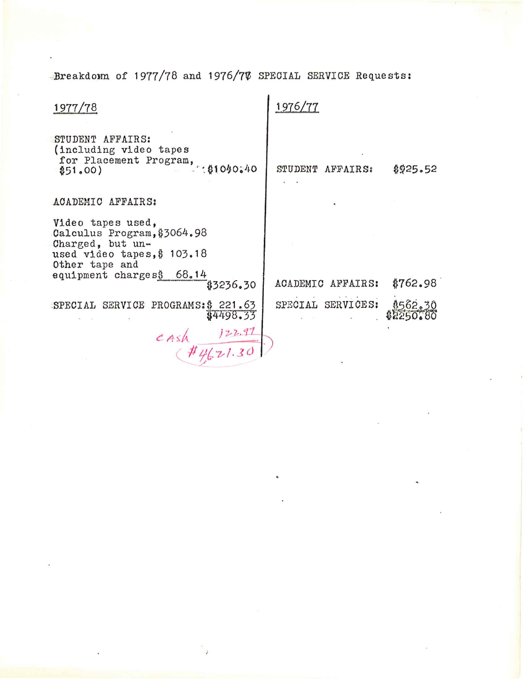Breakdom of 1977/78 and 1976/77 SPECIAL SERVICE Requests:

| 1977/78                                                                                                               | 1976/77           |                     |
|-----------------------------------------------------------------------------------------------------------------------|-------------------|---------------------|
| STUDENT AFFAIRS:<br>(including video tapes<br>for Placement Program, \$1040.40<br>\$51,00)                            | STUDENT AFFAIRS:  | \$925.52            |
| ACADEMIC AFFAIRS:                                                                                                     |                   |                     |
| Video tapes used,<br>Calculus Program, \$3064.98<br>Charged, but un-<br>used video tapes, $$103.18$<br>Other tape and |                   |                     |
| equipment charges\$ 68.14<br>\$3236.30                                                                                | ACADEMIC AFFAIRS: | \$762.98            |
| SPECIAL SERVICE PROGRAMS: \$221.63<br>\$4498.33                                                                       | SPECIAL SERVICES: | 4562,30<br>42250.80 |
| $c$ ash $\frac{122.97}{44621.30}$                                                                                     |                   |                     |
|                                                                                                                       |                   |                     |